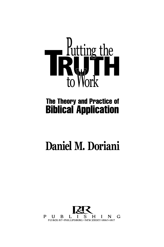

# **The Theory and Practice of Biblical Application**

# Daniel M. Doriani

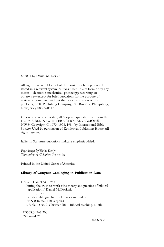© 2001 by Daniel M. Doriani

All rights reserved. No part of this book may be reproduced, stored in a retrieval system, or transmitted in any form or by any means—electronic, mechanical, photocopy, recording, or otherwise—except for brief quotations for the purpose of review or comment, without the prior permission of the publisher, P&R Publishing Company, P.O. Box 817, Phillipsburg, New Jersey 08865-0817.

Unless otherwise indicated, all Scripture quotations are from the HOLY BIBLE, NEW INTERNATIONAL VERSION®. NIV®. Copyright © 1973, 1978, 1984 by International Bible Society. Used by permission of Zondervan Publishing House.All rights reserved.

Italics in Scripture quotations indicate emphasis added.

*Page design by Tobias Design Typesetting by Colophon Typesetting* 

Printed in the United States of America

#### **Library of Congress Cataloging-in-Publication Data**

Doriani, Daniel M., 1953– Putting the truth to work : the theory and practice of biblical application / Daniel M. Doriani. p. cm. Includes bibliographical references and index. ISBN 0-87552-170-3 (pbk.) 1. Bible—Use. 2. Christian life—Biblical teaching. I.Title.

BS538.3.D67 2001 248.4—dc21

00-066938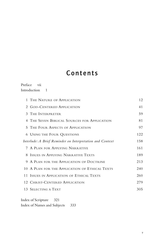# Contents

#### Preface vii Introduction 1

|                                                           | 1 THE NATURE OF APPLICATION                    | 12  |
|-----------------------------------------------------------|------------------------------------------------|-----|
|                                                           | 2 GOD-CENTERED APPLICATION                     | 41  |
|                                                           | 3 THE INTERPRETER                              | 59  |
|                                                           | 4 THE SEVEN BIBLICAL SOURCES FOR APPLICATION   | 81  |
|                                                           | 5 THE FOUR ASPECTS OF APPLICATION              | 97  |
|                                                           | <b>6 USING THE FOUR QUESTIONS</b>              | 122 |
| Interlude: A Brief Reminder on Interpretation and Context |                                                | 158 |
|                                                           | 7 A PLAN FOR APPLYING NARRATIVE                | 161 |
|                                                           | 8 ISSUES IN APPLYING NARRATIVE TEXTS           | 189 |
|                                                           | 9 A PLAN FOR THE APPLICATION OF DOCTRINE       | 213 |
|                                                           | 10 A PLAN FOR THE APPLICATION OF ETHICAL TEXTS | 240 |
|                                                           | 11 ISSUES IN APPLICATION OF ETHICAL TEXTS      | 260 |
|                                                           | 12 CHRIST-CENTERED APPLICATION                 | 279 |
|                                                           | 13 SELECTING A TEXT                            | 305 |
|                                                           |                                                |     |

Index of Scripture 321 Index of Names and Subjects 333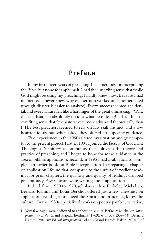# Preface

In my first fifteen years of preaching,I had methods for interpreting the Bible, but none for applying it. I had the unsettling sense that while God might be using my preaching, I hardly knew how. Because I had no method,I never knew why one sermon worked and another failed (though disaster is easier to analyze). Every success seemed accidental,and every failure felt like a harbinger of the great unmasking:"Why, this charlatan has absolutely no idea what he is doing!" I had the discomfiting sense that few pastors were more advanced theoretically than I.The best preachers seemed to rely on raw skill, instinct, and a few heartfelt ideals, but, when asked, they offered little specific guidance.

Two experiences in the 1990s altered my situation and gave impetus to the present project.First,in 1991 I joined the faculty of Covenant Theological Seminary, a community that cultivates the theory and practice of preaching, and I began to hope for some guidance in the area of biblical application.Second,in 1995 I had a sabbatical to complete an earlier book on Bible interpretation. In preparing a chapter on application I found that, compared to the surfeit of excellent readings for prior chapters, the quantity and quality of readings dropped precipitously. Few scholars were writing about application.

Indeed, from 1950 to 1970, scholars such as Berkeley Mickelsen, Bernard Ramm, and Louis Berkhof offered just a few chestnuts on application: avoid legalism, heed the Spirit, find principles, know the culture. 1 In the 1980s, specialized works on poetry, parable, narrative,

<sup>1</sup> Very few pages were dedicated to application: e.g.,A. Berkeley Mickelsen, *Interpreting the Bible* (Grand Rapids: Eerdmans, 1963), 6 of 379 (359–64); Bernard Ramm, *Protestant Biblical Interpretation,* 3d ed. (Grand Rapids: Baker, 1970), 0 of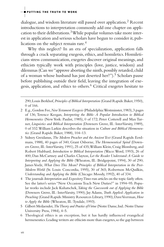dialogue, and wisdom literature still passed over application.2 Recent introductions to interpretation commonly add one chapter on application to their deliberations. $3$ While popular volumes take more interest in application and serious scholars have begun to consider it, publications on the subject remain rare. 4

Why this neglect? In an era of specialization, application falls through a crack separating exegesis, ethics, and homiletics. Homileticians stress communication, exegetes discover original meanings, and ethicists typically work with principles (love, justice, wisdom) and dilemmas (Can we "approve aborting the ninth, possibly retarded, child of a woman whose husband has just deserted her?").<sup>5</sup> Scholars pause before publishing outside their field, leaving the integration of exegesis, application, and ethics to others.<sup>6</sup> Critical exegetes hesitate to

290;Louis Berkhof*,Principles of Biblical Interpretation* (Grand Rapids:Baker,1950), 0 of 166.

- 2 E.g.,Gordon Fee,*New Testament Exegesis* (Philadelphia:Westminster,1983),3 pages of 136; Terence Keegan, *Interpreting the Bible: A Popular Introduction to Biblical Hermeneutics* (New York: Paulist, 1985), 0 of 172; Peter Cotterell and Max Turner, *Linguistics and Biblical Interpretation* (Downers Grove, Ill.: InterVarsity, 1989), 0 of 332.William Larkin describes the situation in *Culture and Biblical Hermeneutics* (Grand Rapids: Baker, 1988), 104–13.
- 3 Sidney Greidanus, *The Modern Preacher and the Ancient Text* (Grand Rapids: Eerdmans, 1988), 40 pages of 340; Grant Osborne, *The Hermeneutical Spiral* (Downers Grove, Ill.: InterVarsity, 1991), 25 of 435; William Klein, Craig Blomberg, and Robert Hubbard*, Introduction to Biblical Interpretation* (Waco:Word, 1993), 26 of 400; Dan McCartney and Charles Clayton, *Let the Reader Understand:A Guide to Interpreting and Applying the Bible* (Wheaton, Ill.: Bridgepoint, 1994), 30 of 290; James Voelz, *What Does This Mean? Principles of Biblical Interpretation in the Post-Modern World* (St. Louis: Concordia, 1995), 30 of 365; Robertson McQuilkin, *Understanding and Applying the Bible* (Chicago: Moody, 1992), 40 of 334.
- 4 The journals *Interpretation* and *Expository Times* run articles on the topic fairly often. See the latter's series "New Occasions Teach New Duties?" in 1994–95. Popular works include Jack Kuhatschek*,Taking the Guesswork out of Applying the Bible*  (Downers Grove, Ill.: InterVarsity, 1990); Jay Adams, *Truth Applied:Application in Preaching* (Grand Rapids:Ministry Resources Library, 1990);Dave Veerman,*How to Apply the Bible* (Wheaton, Ill.:Tyndale, 1993).
- 5 Gilbert Meilaender, *The Theory and Practice of Virtue* (Notre Dame, Ind.: Notre Dame University Press, 1984), 4–5.
- 6 Theological ethics is an exception, but it has hardly influenced evangelical hermeneutics.Leading writers are ethicists more than exegetes,so the gap between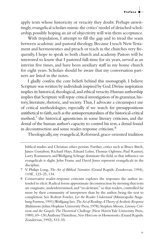$\begin{array}{c|c} & | & \\ \hline \textbf{Preface} & \blacksquare & \textbf{---} \end{array}$ 

apply texts whose historicity or veracity they doubt. Perhaps unwittingly,evangelical scholars mimic the critics'model of detached scholarship, possibly hoping an air of objectivity will win them acceptance.

With trepidation, I attempt to fill the gap and to tread the seam between academic and pastoral theology.Because I teach New Testament and hermeneutics and preach or teach in the churches very frequently, I hope to speak to both church and academy. Pastors will be interested to know that I pastored full-time for six years, served as an interim five times, and have been auxiliary staff in my home church for eight years. Scholars should be aware that my conversation partners are listed in the notes.

I gladly confess the core beliefs behind this monograph. I believe Scripture was written by individuals inspired by God.Divine inspiration implies its historical, theological, and ethical veracity. Human authorship implies that Scripture will repay critical investigation of its grammar, history, literature, rhetoric, and society. Thus, I advocate a circumspect use of critical methodologies, especially if we watch for presuppositions antithetical to faith, such as the antisupernaturalism of the historical-critical method, $\frac{7}{7}$  the historical agnosticism in some literary criticism, and the denial of the human author's capacity to control his text, a denial found in deconstruction and some reader-response criticism.8

Theologically,my evangelical,Reformed,grace-oriented tradition

biblical studies and Christian ethics persists. Further, critics such as Bruce Birch, James Gustafson, Richard Hays, Eduard Lohse,Thomas Ogletree, Paul Ramsey, Larry Rasmussen, and Wolfgang Schrage dominate the field, so that influence on evangelicals is slight. John Frame and David Jones represent evangelicals in the discipline.

<sup>7</sup> V. Philips Long, *The Art of Biblical Narrative* (Grand Rapids: Zondervan, 1994), 110ff., 123–25, 134.

<sup>8</sup> Conservative reader-response criticism explores the responses the author intended to elicit. Radical forms approximate deconstruction by stressing that texts are enigmatic, underdetermined,and "recalcitrant," so that readers, controlled far more by their community of interpreters than by the author, bring the text to completion. See Robert Fowler*, Let the Reader Understand* (Minneapolis:Augsburg Fortress,1991);Wolfgang Iser,*The Act of Reading:A Theory of Aesthetic Response*  (Baltimore: Johns Hopkins University Press, 1978); Stephen Moore, Literary Crit*icism and the Gospels:The Theoretical Challenge* (New Haven Yale University Press, 1989),69–130;Anthony Thistelton,*New Horizons in Hermeneutics* (Grand Rapids: Zondervan, 1992), 515–55.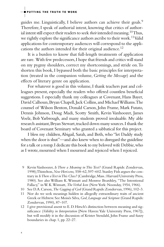guides me. Linguistically, I believe authors can achieve their goals.<sup>9</sup> Therefore, I speak of authorial intent, knowing that critics of authorial intent still expect their readers to seek *their* intended meaning.<sup>10</sup>Thus, we rightly explore the significance authors ascribe to their work.<sup>11</sup>Valid applications for contemporary audiences will correspond to the applications the authors intended for their original audience. 12

It is a burden to know that full-length treatments of application are rare. With few predecessors,I hope that friends and critics will stand on my pygmy shoulders, correct my shortcomings, and stride on.To shorten this book, I bypassed both the basic principles for interpretation (treated in the companion volume, *Getting the Message*) and the effects of literary genre on application.

For whatever is good in this volume, I thank teachers past and colleagues present, especially the readers who offered countless beneficial suggestions. I especially thank my colleagues at Covenant, Hans Bayer, David Calhoun, Bryan Chapell, Jack Collins, and Michael Williams. The counsel of Wilson Benton, Donald Carson, John Frame, Mark Futato, Dennis Johnson, Doug Madi, Scotty Smith, Kevin Vanhoozer, James Voelz, Bob Yarbrough, and many students proved invaluable. My able research assistant, Bryan Stewart, tracked down many sources. I thank the board of Covenant Seminary who granted a sabbatical for this project.

I bless my children,Abigail, Sarah,and Beth, who "let Daddy study when the door is shut"—and also knew when to disregard the guideline for a talk or a romp.I dedicate this book to my beloved wife Debbie,who as I wrote, mourned when I mourned and rejoiced when I rejoiced.

- 9 Kevin Vanhoozer, *Is There a Meaning in This Text?* (Grand Rapids: Zondervan, 1998);Thistelton,*New Horizons,* 558–62,597–602.Stanley Fish argues the contrary in *Is There a Text in This Class?* (Cambridge,Mass.:Harvard University Press, 1980). See also William K.Wimsatt and Monroe Beardsley, "The Intentional Fallacy," in W. K.Wimsatt, *The Verbal Icon* (NewYork: Noonday, 1954, 1966).
- 10 See D.A.Carson,*The Gagging of God* (Grand Rapids:Zondervan,1996),102–3.

11 Nor do we seek meanings hidden in allegedly extraordinary traits of ancient Greek or Hebrew. See Moisés Silva, *God,Language and Scripture* (Grand Rapids: Zondervan, 1990), 87–107.

12 I give provisional assent to E. D. Hirsch's distinction between meaning and significance (*Validity in Interpretation* [New Haven:Yale University Press, 1967]), but will modify it in the discussion of Krister Stendahl, John Frame and fuzzy boundaries in chap. 1, pp. 22–27.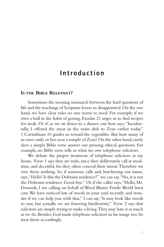# Introduction

#### **IS THE BIBLE RELEVANT?**

Sometimes the seeming mismatch between the hard questions of life and the teachings of Scripture leaves us disappointed. On the one hand, we have clear rules no one seems to need. For example, if we own a bull in the habit of goring, Exodus 21 urges us to find recipes for steak. Or if, as we sit down to a dinner, our host says, "Incidentally, I offered the meat in the main dish to Zeus earlier today," 1 Corinthians 10 guides us toward the vegetables. But how many of us own cattle or live near a temple of Zeus? On the other hand, rarely does a simple Bible verse answer our pressing ethical questions. For example, no Bible verse tells us what we owe telephone solicitors.

We debate the proper treatment of telephone solicitors at my house. View 1 says they are rude, since they deliberately call at mealtime, and deceitful, for they often conceal their intent.Therefore we owe them nothing. So, if someone calls and, butchering our name, says,"Hello! Is this the Dobraini residence?" we can say,"No, it is not the Dobraini residence. Good-bye." Or if the caller says,"Hello, Mr. Dorundi, I am calling on behalf of Weed Blaster Fertile World lawn care.We have noticed lots of weeds in your yard recently and wonder if we can help you with that," I can say,"It may look like weeds to you, but actually we are fostering biodiversity." View 2 says that solicitors are simply trying to make a living.They may hate it as much as we do. Besides, God made telephone solicitors in his image too. So treat them accordingly.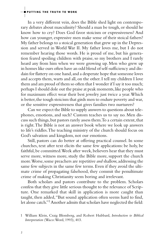In a very different vein, does the Bible shed light on contemporary debates about masculinity? Should a man be tough, or should he know how to cry? Does God favor stoicism or expressiveness? And how can younger, expressive men make sense of their stoical fathers? My father belongs to a stoical generation that grew up in the Depression and served in World War II. My father loves me, but I do not remember hearing those words. He is proud of me, but his generation feared spoiling children with praise, so my brothers and I rarely heard any from him when we were growing up. Men who grew up in homes like ours often have an odd blend of self-sufficiency and disdain for flattery on one hand, and a desperate hope that someone loves and accepts them, warts and all, on the other. I tell my children I love them and am proud of them so often that I wonder if I say it too much; perhaps I should dole out the praise at peak moments, like people who for maximum effect wear their best jewelry just twice a year.Which is better, the tough stoicism that girds men to endure poverty and war, or the sensitive expressiveness that gives families two nurturers?

Can we expect the Bible to supply answers to questions about telephones, emotions, and such? Custom teaches us to say no. Men discuss such things, but pastors rarely assess them. To a certain extent, that is right.The Bible is not an answer book where we look up answers to life's riddles.The teaching ministry of the church should focus on God's salvation and kingdom, not our emotions.

Still, pastors can do better at offering practical counsel. In some churches, text after text elicits the same few applications: be holy, be faithful, be committed. Week after week, believers hear that they must serve more, witness more, study the Bible more, support the church more. Worse, some preachers are repetitive *and* shallow, addressing the same few subjects in the same few terms. Even if they avoid the ultimate crime of propagating falsehood, they commit the penultimate crime of making Christianity seem boring and irrelevant.

Both scholars and pastors contribute to the problem. Scholars confess that they give little serious thought to the relevance of Scripture. One remarked that skill in application is more caught than taught, then added,"But sound application often seems hard to find, let alone catch."<sup>1</sup> Another admits that scholars have neglected the field:

<sup>1</sup> William Klein, Craig Blomberg, and Robert Hubbard, *Introduction to Biblical Interpretation* (Waco:Word, 1993), 403.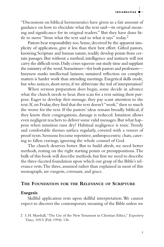│<br>— Introduction

"Discussions on biblical hermeneutics have given us a fair amount of guidance on how to elucidate what the text said—its original meaning and significance for its original readers." But they have done little to move "from what the text said to what it says" today. 2

Pastors bear responsibility too. Some, deceived by the apparent simplicity of application, give it less than their best effort. Gifted pastors, knowing Scripture and human nature, readily develop points from certain passages. But without a method, intelligence and instincts will not carry the difficult texts.Daily crises squeeze out study time and supplant the ministry of the word.Sometimes—for both pastors and professors busyness masks intellectual laziness; sustained reflection on complex matters is harder work than attending meetings. Exegetical skills erode, but who notices, short-term, if we abbreviate the toil of interpretation?

When sermon preparation does begin, some decide in advance what the church needs to hear, then scan for a text suiting their purpose. Eager to develop *their* message, they pay scant attention to the text.If,on Friday,they find that the text doesn't "work," then so much the worse for the text. If the pastors' ideas remain broadly biblical, if they know their congregations, damage is reduced. Intuition allows even negligent teachers to deliver some valid messages.But what happens when intuition runs dry? Habitual negligence is toxic.Trendy and comfortable themes surface regularly, covered with a veneer of proof-texts.Sermons become repetitive,anthropocentric chats, catering to fallen cravings, ignoring the whole counsel of God.

The church deserves better. But to build afresh, we need better methods, resting on the right starting points or presuppositions.The bulk of this book will describe methods, but first we need to describe the three-faceted foundation upon which our grasp of the Bible's relevance rests.The three, assumed rather than explained in most of this monograph, are exegesis, covenant, and grace.

#### **THE FOUNDATION FOR THE RELEVANCE OF SCRIPTURE**

#### **Exegesis**

Skillful application rests upon skillful interpretation. We cannot expect to discover the contemporary meaning of the Bible unless we

2 I. H. Marshall,"The Use of the New Testament in Christian Ethics," *Expository Times,* 105:5 (Feb. 1994): 136.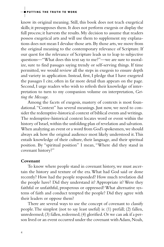know its original meaning. Still, this book does not teach exegetical skills; it presupposes them. It does not perform exegesis or display the full process; it harvests the results. My decision to assume that readers possess exegetical arts and will use them to supplement my explanations does not mean I devalue those arts. By those arts, we move from the original meaning to the contemporary relevance of Scripture. If our quest for the relevance of Scripture leads us to leap to subjective questions—"What does this text say to me?"—we are sure to moralize, sure to find passages saying trendy or self-serving things. If time permitted, we would review all the steps in exegesis to ensure depth and variety in application. Instead, first, I pledge that I have exegeted the passages I cite, often in far more detail than appears on the page. Second, I urge readers who wish to refresh their knowledge of interpretation to turn to my companion volume on interpretation, *Getting the Message.* 

Among the facets of exegesis, mastery of contexts is most foundational."Context" has several meanings. Just now, we need to consider the redemptive-historical context of biblical events and writings. The redemptive-historical context locates word or event within the history of Israel,within the unfolding plan of revelation and salvation. When analyzing an event or a word from God's spokesmen, we should always ask how the original audience most likely understood it.This entails knowledge of their culture, their language, and their spiritual position. By "spiritual position" I mean, "Where did they stand in covenant history?"

#### **Covenant**

To know where people stand in covenant history, we must ascertain the history and texture of the era.What had God said or done recently? How had the people responded? How much revelation did the people have? Did they understand it? Appropriate it? Were they faithful or unfaithful, prosperous or oppressed? What alternative systems of faith and conduct tempted the people? Did they agree with their leaders or oppose them?

There are several ways to use the concept of covenant to classify people.The simplest (not to say least useful) is: (1) prefall; (2) fallen, unredeemed; (3) fallen, redeemed; (4) glorified. Or we can ask if a person lived or an event occurred under the covenant with Adam, Noah,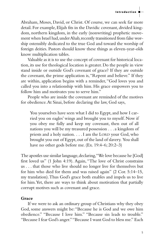│<br>— Introduction

Abraham, Moses, David, or Christ. Of course, we can seek far more detail. For example, Elijah fits in the Davidic covenant, divided kingdom, northern kingdom, in the early (nonwriting) prophetic movement when Israel had, under Ahab, recently transitioned from false worship ostensibly dedicated to the true God and toward the worship of foreign deities. Pastors should know these things as eleven-year-olds know multiplication tables.

Valuable as it is to use the concept of covenant for historical location, its use for theological location is greater. Do the people in view stand inside or outside God's covenant of grace? If they are outside the covenant, the prime application is,"Repent and believe." If they are within, application begins with a reminder, "God loves you and called you into a relationship with him. His grace empowers you to follow him and motivates you to serve him."

People who are inside the covenant are reminded of the motives for obedience.At Sinai, before declaring the law, God says,

You yourselves have seen what I did to Egypt, and how I carried you on eagles' wings and brought you to myself. Now if you obey me fully and keep my covenant, then out of all nations you will be my treasured possession . . . a kingdom of priests and a holy nation. . . . I am the LORD your God, who brought you out of Egypt, out of the land of slavery. You shall have no other gods before me. (Ex. 19:4–6; 20:2–3)

The apostles use similar language, declaring, "We love because he [God] first loved us" (1 John 4:19). Again, "The love of Christ constrains us . . . that those who live should no longer live for themselves but for him who died for them and was raised again" (2 Cor. 5:14–15, my translation).Thus God's grace both enables and impels us to live for him.Yet, there are ways to think about motivation that partially corrupt motives such as covenant and grace.

#### **Grace**

If we were to ask an ordinary group of Christians why they obey God, some answers might be: "Because he is God and we owe him obedience." "Because I love him." "Because sin leads to trouble." "Because I fear God's anger.""Because I want God to bless me." Each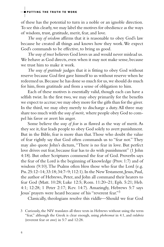of these has the potential to turn in a noble or an ignoble direction. To see this clearly,we may label the motives for obedience as the ways of wisdom, trust, gratitude, merit, fear, and love.

*The way of wisdom* affirms that it is reasonable to obey God's law because he created all things and knows how they work.We expect God's commands to be effective, to bring us good.

*The way of trust* believes God loves us and would never mislead us. We behave as God directs, even when it may not make sense, because we trust him to make it work.

*The way of gratitude* judges that it is fitting to obey God without reserve because God first gave himself to us without reserve when he redeemed us. Because he has done so much for us, we should do much for him, from gratitude and from a sense of obligation to him.

Each of these motives is essentially valid, though each can have a selfish twist. In the first two, we may obey primarily for the benefits we expect to accrue;we may obey more for the gifts than for the giver. In the third, we may obey merely to discharge a duty.All three may share too much with the *way of merit,* where people obey God to compel his favor or avert his anger.

Some believe the *way of fear* is as flawed as the way of merit. As they see it, fear leads people to obey God solely to avert punishment. But in the Bible, fear is more than that.Those who doubt the value of fear rightly say that God often commands us to "fear not." They may also quote John's dictum,"There is no fear in love. But perfect love drives out fear, because fear has to do with punishment" (1 John 4:18). But other Scriptures commend the fear of God. Proverbs says the fear of the Lord is the beginning of knowledge (Prov. 1:7) and of wisdom (9:10).The Psalms often bless those who fear the Lord (e.g. Pss. 25:12–14; 33:18; 34:7–9; 112:1). In the New Testament, Jesus, Paul, the author of Hebrews, Peter, and John all command their hearers to fear God (Matt. 10:28; Luke 12:5; Rom. 11:20–21; Eph. 5:21; Heb. 4:1; 12:28; 1 Peter 2:17; Rev. 14:7). Amazingly, Hebrews 5:7 says Jesus' prayers were heard because of his "reverent fear."3

Classically, theologians resolve this riddle—Should we fear God

<sup>3</sup> Curiously, the NIV translates all three texts in Hebrews without using the term "fear," although the Greek is clear enough, using *phobeomai* in 4:1, and *eulabeia*  (reverent fear or awe) in 5:7 and 12:28.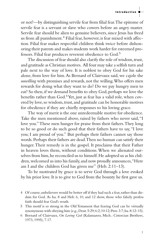│<br>— Introduction

or not?—by distinguishing servile fear from filial fear.The epitome of servile fear is a servant or slave who cowers before an angry master. Servile fear should be alien to genuine believers, since Jesus has freed us from all punishment.4 Filial fear, however, is fear mixed with affection. Filial fear makes respectful children think twice before dishonoring their parents and makes students work harder for esteemed professors. Filial fear produces reverent obedience to God.5

The discussion of fear should also clarify the role of wisdom, trust, and gratitude as Christian motives. All four may take a selfish turn and pale next to the way of love. It is noblest to obey God for his sake alone, from love for him.As Bernard of Clairvaux said, we cajole the *unwilling* with promises and rewards, not the willing.Who offers men rewards for doing what they want to do? Do we pay hungry men to eat? So then, if we demand benefits to obey God, perhaps we love the benefits rather than God.<sup>6</sup>Yet, just as fear has a valid role, when covered by love, so wisdom, trust, and gratitude can be honorable motives for obedience if they are chiefly responses to his loving grace.

The way of merit is the one unredeemable motive for obedience. Take the men mentioned above, raised by fathers who never said,"I love you."These men hunger for praise from their fathers.They long to be so good or do such good that their fathers have to say,"I love you; I am proud of you." But perhaps their fathers cannot say those words.Perhaps their fathers are dead.Then no human can satisfy their hunger.Their remedy is in the gospel. It proclaims that their Father in heaven loves them, without conditions.When we alienated ourselves from him, he reconciled us to himself. He adopted us as his children, welcomed us into his family, and now proudly announces, "Here am I and the children God has given me" (Heb. 2:11–13).

To be motivated by grace is to serve God through a love evoked by his prior love. It is to give to God from the bounty he first gave us.

<sup>4</sup> Of course, unbelievers would be better off if they had such a fear, rather than disdain for God. As Isa. 8 and Heb. 6, 10, and 12 show, those who falsely profess faith should fear God's wrath.

<sup>5</sup> This motif is so strong in the Old Testament that fearing God can be virtually synonymous with obeying him (e.g., Deut. 5:29; 6:2; 10:12; Prov. 3:7; Isa. 8:12–15).

<sup>6</sup> Bernard of Clairvaux, *On Loving God* (Kalamazoo, Mich.: Cistercian Brothers, 1973, [1995\),](http:1973,1995),7.17) 7.17.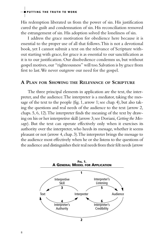His redemption liberated us from the power of sin. His justification cured the guilt and condemnation of sin. His reconciliation removed the estrangement of sin. His adoption solved the loneliness of sin.

I address the grace motivation for obedience here because it is essential to the proper use of all that follows.This is not a devotional book, yet I cannot submit a text on the relevance of Scripture without starting with grace, for grace is as essential to our sanctification as it is to our justification. Our disobedience condemns us, but without gospel motives,our "righteousness" will too.Salvation is by grace from first to last.We never outgrow our need for the gospel.

#### **A PLAN FOR SHOWING THE RELEVANCE OF SCRIPTURE**

The three principal elements in application are the text, the interpreter, and the audience.The interpreter is a mediator, taking the message of the text to the people (fig. 1, arrow 1; see chap. 4), but also taking the questions and real needs of the audience to the text (arrow 2, chaps. 5, 6, 12).The interpreter finds the meaning of the text by drawing on his or her interpretive skill (arrow 3;see Doriani,*Getting the Mes*sage). But the text can operate effectively only when it exercises its authority over the interpreter, who heeds its message, whether it seems pleasant or not (arrow 4, chap. 3).The interpreter brings the message to the audience most effectively when he or she listens to the questions of the audience and distinguishes their real needs from their felt needs (arrow

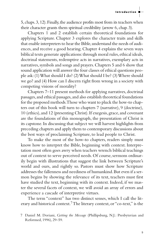│<br>— Introduction

5, chaps.3,12).Finally,the audience profits most from its teachers when their character grants them spiritual credibility (arrow 6, chap. 3).

Chapters 1 and 2 establish certain theoretical foundations for applying Scripture. Chapter 3 explores the character traits and skills that enable interpreters to hear the Bible, understand the needs of audiences, and receive a good hearing. Chapter 4 explains the seven ways biblical texts generate applications:through moral rules, ethical ideals, doctrinal statements, redemptive acts in narratives, exemplary acts in narratives,symbols and songs and prayers.Chapters 5 and 6 show that sound application will answer the four classes of ethical questions people ask:(1) What should I do? (2) What should I be? (3) Where should we go? and (4) How can I discern right from wrong in a society with competing visions of morality?

Chapters 7–11 present methods for applying narratives, doctrinal passages,and ethical passages,and also establish theoretical foundations for the proposed methods.Those who want to pluck the how-to chapters out of this book will turn to chapters 7 (narrative), 9 (doctrine), 10 (ethics),and 12 (presenting Christ).If exegesis,grace,and covenant are the foundations of this monograph, the presentation of Christ is its capstone. In discussing that subject we will harvest highlights from preceding chapters and apply them to contemporary discussions about the best ways of proclaiming Scripture, to lead people to Christ.

To make the most of the how-to chapters, readers simply must know how to interpret the Bible, beginning with context. Interpretation most often goes awry when teachers wrench biblical teachings out of context to serve perceived needs. Of course, sermons ordinarily begin with illustrations that suggest the link between Scripture's world and ours, and rightly so. Pastors must show how Scripture addresses the fallenness and neediness of humankind.But even if a sermon begins by showing the relevance of its text, teachers must first have studied the text, beginning with its context. Indeed, if we master the several facets of context, we will avoid an array of errors and experience a cascade of interpretive virtues.

The term "context" has two distinct senses, which I call the literary and historical context.<sup>7</sup>The literary context, or "co-text," is the

<sup>7</sup> Daniel M. Doriani, *Getting the Message* (Phillipsburg, N.J.: Presbyterian and Reformed, 1996), 29–59.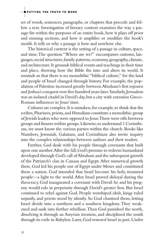set of words, sentences, paragraphs, or chapters that precede and follow a text. Investigation of literary context examines the way a passage fits within the purposes of an entire book, how it plays off prior and ensuing sections, and how it amplifies or modifies the book's motifs. It tells us why a passage is here and nowhere else.

The historical context is the setting of a passage in culture, space, and time.The question "Where are we?" encompasses customs, languages,social structures,family patterns,economy,geography, climate, and architecture.It grounds biblical events and teachings in their time and place, showing how the Bible fits into and alters its world. It reminds us that there is no monolithic "biblical culture," for the land and people of Israel changed through history. For example, the population of Palestine increased greatly between Abraham's first sojourn and Joshua's conquest over five hundred years later.Similarly,Jerusalem was an isolated citadel in David's day,but a city with extensive Greco-Roman influences in Jesus' time.

Cultures are complex. It is mistaken, for example, to think that the scribes, Pharisees, priests, and Herodians constitute a monolithic group of Jewish leaders who were opposed to Jesus.There were rifts between groups and fissures within groups.Likewise,to understand 1 Corinthians, we must know the various parties within the church. Books like Numbers, Jeremiah, Galatians, and Corinthians also invite inquiry into the complex relationships between authors and their readers.

Further, God deals with his people through covenants that built upon one another.After the fall,God's promise to redeem humankind developed through God's call of Abraham and the subsequent growth of the Patriarch's clan in Canaan and Egypt.After numerical growth there, God led his people out of Egypt under Moses and constituted them a nation. God intended that Israel become his holy, treasured people—a light to the world.After Israel proved disloyal during the theocracy, God inaugurated a covenant with David: he and his progeny would rule in perpetuity through David's greater Son. But Israel continued to rebel against God. People worshiped idols, kings ruled unjustly, and priests stood by silently. So God chastised them, letting Israel divide into a northern and a southern kingdom.They weakened and sank into further rebellion.Then God punished the north, dissolving it through an Assyrian invasion, and disciplined the south through its exile in Babylon. Later, God restored Israel in part. Under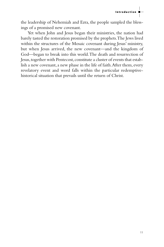

the leadership of Nehemiah and Ezra, the people sampled the blessings of a promised new covenant.

Yet when John and Jesus began their ministries, the nation had barely tasted the restoration promised by the prophets.The Jews lived within the structures of the Mosaic covenant during Jesus' ministry, but when Jesus arrived, the new covenant—and the kingdom of God—began to break into this world.The death and resurrection of Jesus, together with Pentecost, constitute a cluster of events that establish a new covenant, a new phase in the life of faith. After them, every revelatory event and word falls within the particular redemptivehistorical situation that prevails until the return of Christ.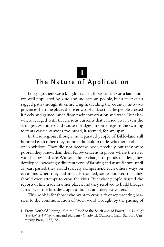1

# The Nature of Application

Long ago, there was a kingdom called Bible-land. It was a fair country, well populated by kind and industrious people, but a river cut a ragged path through its entire length, dividing the country into two provinces.In some places the river was placid,so that the people crossed it freely and gained much from their conversation and trade.But elsewhere it raged with treacherous currents that carried away even the strongest swimmers and stoutest bridges.In some regions the swirling torrents carved canyons too broad, it seemed, for any span.

In these regions, though the separated people of Bible-land still honored each other, they found it difficult to trade, whether in objects or in wisdom.They did not become poor, precisely, but they were poorer, they knew, than their fellow citizens in places where the river was shallow and safe.Without the exchange of goods or ideas, they developed increasingly different ways of farming and manufacture, until as years passed, they could scarcely comprehend each other's ways on occasions when they did meet. Frustrated, some doubted that they should even attempt to cross the river. But wiser people trusted the reports of fine trade in other places,and they resolved to build bridges across even the broadest, ugliest ditches and deepest waters.<sup>1</sup>

This book is for those who want to cross a river representing barriers to the communication of God's word wrought by the passing of

<sup>1</sup> From Gotthold Lessing,"On the Proof of the Spirit and of Power," in *Lessing's Theological Writings,* trans.and ed.Henry Chadwick (Stanford,Calif.:Stanford University Press, 1957), 55.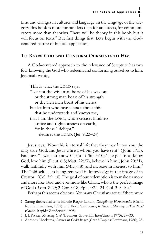time and changes in cultures and language.In the language of the allegory, this book is more for builders than for architects, for communicators more than theorists.There will be theory in this book, but it will focus on texts.<sup>2</sup> But first things first. Let's begin with the Godcentered nature of biblical application.

#### **TO KNOW GOD AND CONFORM OURSELVES TO HIM**

A God-centered approach to the relevance of Scripture has two foci:knowing the God who redeems and conforming ourselves to him. Jeremiah wrote,

This is what the LORD says: "Let not the wise man boast of his wisdom or the strong man boast of his strength or the rich man boast of his riches, but let him who boasts boast about this: that he understands and knows me, that I am the LORD, who exercises kindness, justice and righteousness on earth, for in these I delight," declares the LORD. ( Jer. 9:23–24)

Jesus says,"Now this is eternal life: that they may know you, the only true God, and Jesus Christ, whom you have sent" ( John 17:3). Paul says,"I want to know Christ" (Phil. 3:10).The goal is to know God, love him (Deut. 6:5; Matt. 22:37), believe in him ( John 20:31), walk faithfully with him (Mic.  $6:8$ ), and increase in likeness to him.<sup>3</sup> The "old self . . . is being renewed in knowledge in the image of its Creator" (Col.3:9–10).The goal of our redemption is to make us more and more like God, and ever more like Christ, who is the perfect image of God (Rom. 8:29; 2 Cor. 3:18; Eph. 4:22–24; Col. 3:9–10).4

Perhaps this seems obvious. Yet many Christians act as if there were

2 Strong theoretical texts include Roger Lundin*, Disciplining Hermeneutics* (Grand Rapids: Eerdmans, 1997); and Kevin Vanhoozer, *Is There a Meaning in This Text?*  (Grand Rapids: Zondervan, 1998).

4 Anthony Hoekema, *Created in God's Image* (Grand Rapids: Eerdmans, 1986), 28.

<sup>3</sup> J. I. Packer, *Knowing God* (Downers Grove, Ill.: InterVarsity, 1973), 29–33.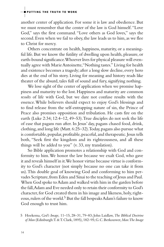another center of application. For some it is law and obedience. But we must remember that the center of the law is God himself."Love God," says the first command. "Love others as God loves," says the second. Even when we fail to obey, the law leads us to him, as we flee to Christ for mercy.

Others concentrate on health, happiness, maturity, or a meaningful life. But we know the futility of dwelling upon health, pleasure, or earth-bound significance.Whoever lives for physical pleasure will eventually agree with Marie Antoinette,"Nothing tastes." Living for health and existence becomes a tragedy; after a long slow decline, every hero dies at the end of his story. Living for meaning and history reads like theater of the absurd, tales full of sound and fury, signifying nothing.

We lose sight of the center of application when we promise happiness and maturity to the lost. Happiness and maturity are common *results* of life with God, but we dare not confuse results with the essence.While believers should expect to enjoy God's blessings and to find release from the self-entrapping nature of sin, the Prince of Peace also promises opposition and tribulation. He casts fire on the earth (Luke 2:34; 12:4–12, 49–53).True disciples do not seek the life of ease that pagans run after. In Jesus' day, pagans chased food, drink, clothing,and long life (Matt.6:25–32).Today,pagans also pursue what is comfortable, popular, profitable, peaceful, and therapeutic. Jesus tells both, "Seek first the kingdom and its righteousness, and all these things will be added to you" (v. 33, my translation).

So Bible application promotes a relationship with God and conformity to him.We honor the law because we exalt God, who gave it and reveals himself in it.We honor virtue because virtue is conformity to God's character (not simply because no one can take it from us).This double goal of knowing God and conforming to him pervades Scripture, from Eden and Sinai to the teaching of Jesus and Paul. When God spoke to Adam and walked with him in the garden before the fall,Adam and Eve needed only to retain their conformity to God's character, for God created them in his image and likeness, holy, righteous, rulers of the world.<sup>5</sup> But the fall bespeaks Adam's failure to know God enough to trust him.

<sup>5</sup> Hoekema, *God's Image,* 11–15, 28–31, 79–83; John Laidlaw, *The Biblical Doctrine of Man* (Edinburgh:T.&T.Clark,1895),182–95;G.C.Berkouwer,*Man:The Image*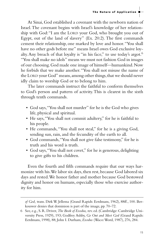At Sinai, God established a covenant with the newborn nation of Israel.The covenant begins with Israel's knowledge of her relationship with God:"I am the LORD your God, who brought you out of Egypt, out of the land of slavery" (Ex. 20:2). The first commands cement their relationship, one marked by love and honor."You shall have no other gods before me" means Israel owes God exclusive loyalty. Any breach of that loyalty is "in his face," to use today's argot.<sup>6</sup> "You shall make no idols" means we must not fashion God in images of our choosing.God made one image of himself—humankind.Now he forbids that we make another."You shall not misuse the name of the LORD your God" means, among other things, that we should never idly claim to worship God or to belong to him.

The later commands instruct the faithful to conform themselves to God's person and pattern of activity.This is clearest in the sixth through tenth commands.

- God says,"You shall not murder" for he is the God who gives life, physical and spiritual.
- He says,"You shall not commit adultery," for he is faithful to his people.
- He commands, "You shall not steal," for he is a giving God, sending sun, rain, and the fecundity of the earth to all.
- God commands,"You shall not give false testimony," for he is truth and his word is truth.
- God says,"You shall not covet," for he is generous, delighting to give gifts to his children.

Even the fourth and fifth commands require that our ways harmonize with his. We labor six days, then rest, because God labored six days and rested.We honor father and mother because God bestowed dignity and honor on humans, especially those who exercise authority for him.

*of God,* trans. Dirk W. Jellema (Grand Rapids: Eerdmans, 1962), 88ff., 100. Berkouwer denies that dominion is part of the image, pp. 70–72.

<sup>6</sup> See, e.g., S. R. Driver, *The Book of Exodus,* rev. ed. (Cambridge: Cambridge University Press, 1929), 193; Godfrey Ashby, *Go Out and Meet God* (Grand Rapids: Eerdmans, 1998), 88; John I. Durham, *Exodus* (Waco:Word, 1987), 276, 284.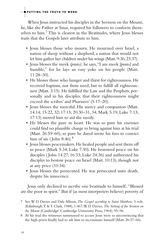When Jesus instructed his disciples in the Sermon on the Mount, he, like the Father at Sinai, required his followers to conform themselves to him.7 This is clearest in the Beatitudes, where Jesus blesses traits that the Gospels later attribute to him.

- Jesus blesses those who mourn. He mourned over Israel, a nation of sheep without a shepherd, a nation that would not let him gather her children under his wings (Matt.9:36;23:37).
- Jesus blesses the meek *(praüs);* he says,"I am meek *[praüs]* and humble," for he lays an easy yoke on his people (Matt. 11:28–30).
- He blesses those who hunger and thirst for righteousness. He received baptism, not from need, but to fulfill all righteousness (Matt. 3:15). He fulfilled the Law and the Prophets, personally and in his disciples, that their righteousness might exceed the scribes' and Pharisees' (5:17–20).
- Jesus blesses the merciful. His mercy and compassion (Matt. 14:14; 15:22, 32; 17:15; 20:30–31, 34; Mark 5:19; Luke 7:13; 17:13) moved him to aid the needy.
- He blesses the pure in heart. He was so pure his enemies could find no plausible charge to bring against him at his trial (Matt. 26:59–60), so pure he dared invite his foes to convict him of sin (John 8:46). $8$
- Jesus blesses peacemakers.He healed people and sent them off in peace (Mark 5:34; Luke 7:50). He bestowed peace on his disciples ( John 14:27; 16:33; Luke 24:36) and authorized his disciples to bestow peace on Israel (Matt. 10:13), though not at any price (10:34).
- Jesus blesses the persecuted. He was persecuted unto death, despite his innocence.

Jesus only declined to ascribe one beatitude to himself, "Blessed are the poor in spirit." But if (as most interpreters believe) poverty of

- 7 See W. D. Davies and Dale Allison, *The Gospel according to Saint Matthew,* 3 vols. (Edinburgh:T. &T. Clark, 1988), 1:467;W. D. Davies, *The Setting of the Sermon on the Mount* (Cambridge: Cambridge University Press, 1964), 95–96.
- 8 At his trial the witnesses summoned to accuse Jesus were so unconvincing that the high priest finally had to ask him to incriminate himself (Matt. 26:57–66).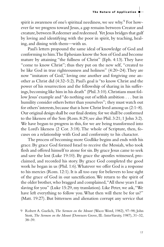### The Nature of Application

spirit is awareness of one's spiritual neediness, we see why. $^9$  For however far we progress toward Jesus, a gap remains between Creator and creature, between Redeemer and redeemed. Yet Jesus bridges that gulf by loving and identifying with the poor in spirit, by teaching, healing, and dining with them—with us.

Paul's letters propound the same ideal of knowledge of God and conforming to him.The Ephesians know the Son of God and become mature by attaining "the fullness of Christ" (Eph. 4:13).They have "come to know Christ"; thus they put on the new self, "created to be like God in true righteousness and holiness" (4:20–24).They are now "imitators of God," loving one another and forgiving one another as Christ did (4:32–5:2). Paul's goal is "to know Christ and the power of his resurrection and the fellowship of sharing in his sufferings, becoming like him in his death" (Phil. 3:10). Christians must follow Jesus' example and "do nothing out of selfish ambition . . . but in humility consider others better than yourselves"; they must watch out for others' interests, because that is how Christ lived among us  $(2:1-8)$ . Our original design shall be our final destiny, for we shall be conformed to the likeness of the Son (Rom. 8:29; see also Phil. 3:21; 1 John 3:2). We have begun to progress in this, for we are being transformed into the Lord's likeness (2 Cor. 3:18).The whole of Scripture, then, focuses on a relationship with God and conformity to his character.

The process of becoming more Godlike begins and ends with his grace. By grace God formed Israel to receive the Messiah, who took flesh and offered himself to atone for sin. By grace Jesus came to seek and save the lost (Luke 19:10). By grace the apostles witnessed, proclaimed, and recorded his story. By grace God completed the good work he began in us (Phil. 1:6).Whatever we offer God is a response to his mercies (Rom. 12:1). It is all too easy for believers to lose sight of the grace of God in our sanctification.We return to the spirit of the older brother, who bragged and complained, "All these years I am slaving for you" (Luke 15:29, my translation). Like Peter, we ask,"We have left everything to follow you.What then will there be for us?" (Matt. 19:27). But bitterness and alienation corrupt any service that

<sup>9</sup> Robert A. Guelich, *The Sermon on the Mount* (Waco:Word, 1982), 97–98; John Stott, *The Sermon on the Mount* (Downers Grove, Ill.: InterVarsity, 1987), 31-32, 38–39.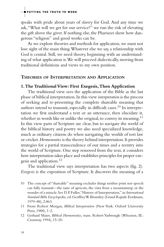speaks with pride about years of *slavery* for God. And any time we ask,"What will we get for our service?" we run the risk of elevating the gift above the giver. If nothing else, the Pharisees show how dangerous "religion" and good works can be.

As we explore theories and methods for application, we must not lose sight of the main thing.Whatever else we say, a relationship with God is central. Still, we need theory, beginning with an understanding of what application is.We will proceed dialectically, moving from traditional definitions and views to my own position.

#### **THEORIES OF INTERPRETATION AND APPLICATION**

#### **1.The Traditional View: First Exegesis,Then Application**

The traditional view sees the application of the Bible as the last phase of biblical interpretation.In this view *interpretation* is the process of seeking and re-presenting the complete shareable meaning that authors intend to transmit, especially in difficult cases.<sup>10</sup> In interpretation we first understand a text or an utterance, then elucidate it, whether in words like or unlike the original, to convey its meaning.<sup>11</sup> In this view parts of Scripture are clear, but to navigate the world of the biblical history and poetry we also need specialized knowledge, much as ordinary citizens do when navigating the worlds of tort law or cricket.*Hermeneutics* is the theory behind interpretation.It provides strategies for a partial transcendence of our times and a reentry into the world of Scripture. One step removed from the text, it considers how interpretation takes place and establishes principles for proper exegesis and application.12

The traditional view says interpretation has two aspects (fig. 2). *Exegesis* is the exposition of Scripture. It discovers the meaning of a

- 10 The concept of "shareable" meaning excludes things neither print nor speech can fully transmit—the taste of apricots, the vista from a mountaintop, or the wonder of a miracle.See D.P.Fuller,"History of Interpretation," in *International Standard Bible Encyclopedia,* ed.Geoffrey W.Bromiley (Grand Rapids:Eerdmans, 1979–88), 2:863.
- 11 From Robert Morgan, *Biblical Interpretation* (New York: Oxford University Press, 1988), 1–2.
- 12 Gerhard Maier, *Biblical Hermeneutics,* trans. Robert Yarbrough (Wheaton, Ill.: Crossway, 1994), 15–20.